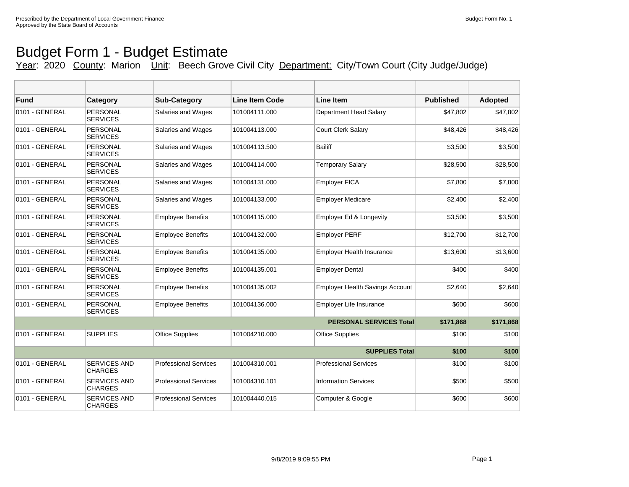T

## Budget Form 1 - Budget Estimate

T

Year: 2020 County: Marion Unit: Beech Grove Civil City Department: City/Town Court (City Judge/Judge)

| Fund                  | Category                              | <b>Sub-Category</b>          | <b>Line Item Code</b> | <b>Line Item</b>                       | <b>Published</b> | <b>Adopted</b> |
|-----------------------|---------------------------------------|------------------------------|-----------------------|----------------------------------------|------------------|----------------|
| 0101 - GENERAL        | <b>PERSONAL</b><br><b>SERVICES</b>    | Salaries and Wages           | 101004111.000         | Department Head Salary                 | \$47,802         | \$47,802       |
| 0101 - GENERAL        | <b>PERSONAL</b><br><b>SERVICES</b>    | Salaries and Wages           | 101004113.000         | <b>Court Clerk Salary</b>              | \$48,426         | \$48,426       |
| 0101 - GENERAL        | <b>PERSONAL</b><br><b>SERVICES</b>    | Salaries and Wages           | 101004113.500         | <b>Bailiff</b>                         | \$3.500          | \$3,500        |
| 0101 - GENERAL        | <b>PERSONAL</b><br><b>SERVICES</b>    | Salaries and Wages           | 101004114.000         | <b>Temporary Salary</b>                | \$28,500         | \$28,500       |
| 0101 - GENERAL        | <b>PERSONAL</b><br><b>SERVICES</b>    | Salaries and Wages           | 101004131.000         | <b>Employer FICA</b>                   | \$7,800          | \$7,800        |
| 0101 - GENERAL        | <b>PERSONAL</b><br><b>SERVICES</b>    | Salaries and Wages           | 101004133.000         | <b>Employer Medicare</b>               | \$2,400          | \$2,400        |
| 0101 - GENERAL        | PERSONAL<br><b>SERVICES</b>           | <b>Employee Benefits</b>     | 101004115.000         | <b>Employer Ed &amp; Longevity</b>     | \$3,500          | \$3,500        |
| 0101 - GENERAL        | <b>PERSONAL</b><br><b>SERVICES</b>    | <b>Employee Benefits</b>     | 101004132.000         | <b>Employer PERF</b>                   | \$12,700         | \$12,700       |
| 0101 - GENERAL        | <b>PERSONAL</b><br><b>SERVICES</b>    | <b>Employee Benefits</b>     | 101004135.000         | <b>Employer Health Insurance</b>       | \$13,600         | \$13,600       |
| 0101 - GENERAL        | <b>PERSONAL</b><br><b>SERVICES</b>    | <b>Employee Benefits</b>     | 101004135.001         | <b>Employer Dental</b>                 | \$400            | \$400          |
| 0101 - GENERAL        | <b>PERSONAL</b><br><b>SERVICES</b>    | <b>Employee Benefits</b>     | 101004135.002         | <b>Employer Health Savings Account</b> | \$2,640          | \$2,640        |
| 0101 - GENERAL        | <b>PERSONAL</b><br><b>SERVICES</b>    | <b>Employee Benefits</b>     | 101004136.000         | <b>Employer Life Insurance</b>         | \$600            | \$600          |
|                       | \$171,868                             | \$171,868                    |                       |                                        |                  |                |
| 0101 - GENERAL        | <b>SUPPLIES</b>                       | Office Supplies              | 101004210.000         | <b>Office Supplies</b>                 | \$100            | \$100          |
| <b>SUPPLIES Total</b> |                                       |                              |                       |                                        |                  | \$100          |
| 0101 - GENERAL        | <b>SERVICES AND</b><br>CHARGES        | <b>Professional Services</b> | 101004310.001         | <b>Professional Services</b>           | \$100            | \$100          |
| 0101 - GENERAL        | <b>SERVICES AND</b><br><b>CHARGES</b> | <b>Professional Services</b> | 101004310.101         | <b>Information Services</b>            | \$500            | \$500          |
| 0101 - GENERAL        | <b>SERVICES AND</b><br><b>CHARGES</b> | <b>Professional Services</b> | 101004440.015         | Computer & Google                      | \$600            | \$600          |